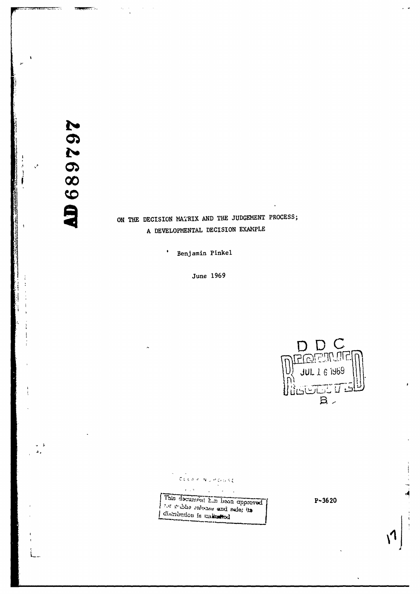**26268917** 

# ON THE DECISION MATRIX AND THE JUDGEMENT PROCESS; A DEVELOPMENTAL DECISION EXAMPLE

Benjamin Pinkel

 $\bullet$ 

June 1969



CLEAR NUMBERSE This decument his been opproved

t' **f** f f<sup></sup> f<sup></sup> f<sup></sup> f<sup></sup> f<sup></sup> f<sup></sup> f<sup></sup> f<sup></sup> f<sup></sup>

 $P - 3620$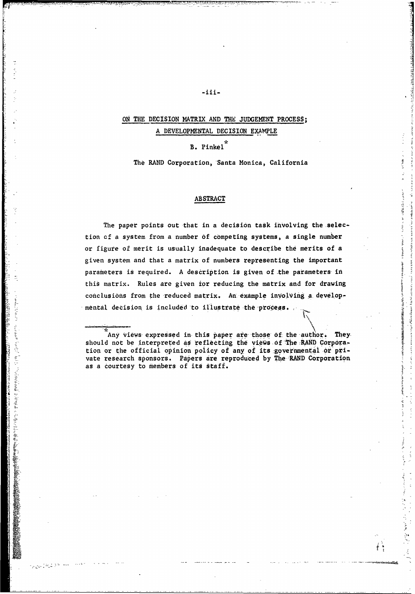## ON THE DECISION MATRIX AND THE JUDGEMENT PROCESS; A DEVELOPMENTAL DECISION EXAMPLE

 $-iii-$ 

B. Pinkel

والمسافر أنشأ أن المسافرة المسافرة المسافرة المسافرة المسافرة المسافرة المسافرة المسافرة المسافرة المسافرة الم<br>والمسافرة المسافرة المسافرة المسافرة المسافرة المسافرة المسافرة المسافرة المسافرة المسافرة المسافرة المسافرة ا

L

1,

医盐酸盐酸 地名法国弗兰克雷尔 计显示

**Information** 

منابع الأنفرية ( Age 2

The RAND Corporation, Santa Monica, California

### **ABSTRACT**

The paper points out that in a decision task involving the selection **cf** a system from a number of competing systems, a single number or figure of merit is usually inadequate to describe the merits of a given system and that a matrix of numbers representing the important parameters is required. A description is given of the parameters in this matrix. Rules are given ior reducing the matrix and for drawing conclusions from the reduced matrix. An example involving a developmental decision is included to illustrate the process.

Any views expressed in this paper are those of the-author. Theyshould not be interpreted as reflecting the views of The -RAND Corporation or the official opinion policy of any of its :governmental or private research sponsors. Papers are reproduced by The RAND Corporation as a courtesy to members of its staff.

194567313 o teliata a e-

son office is thought of the toll authors in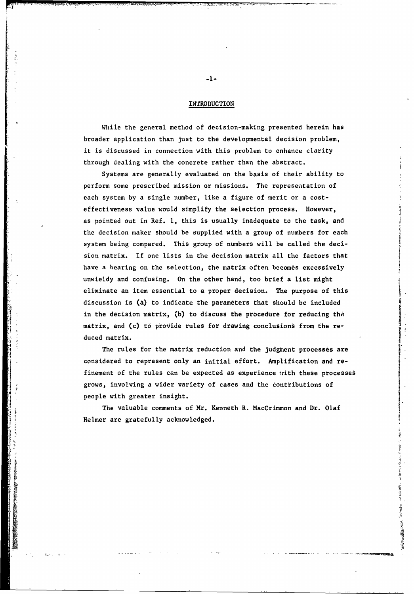### **INTRODUCTION**

While the general method of decision-making presented herein has broader application than just to the developmental decision problem, it is discussed in connection with this problem to enhance clarity through dealing with the concrete rather than the abstract.

Systems are generally evaluated on the basis of their ability to perform some prescribed mission or missions. The representation of each system by a single number, like a figure of merit or a costeffectiveness value would simplify the selection process. However, as pointed out in Ref. **1,** this is usually inadequate to the task, and the decision maker should be supplied with a group of numbers for each system being compared. This group of numbers will be called the decision matrix. If one lists in the decision matrix all the factors that have a bearing on the selection, the matrix often becomes excessively unwieldy and confusing. On the other hand, too brief a list might eliminate an item essential to a proper decision. The purpose of this discussion is (a) to indicate the parameters that should be included in the decision matrix, (b) to discuss the procedure for reducing the matrix, and (c) to provide rules for drawing conclusions from the reduced matrix.

The rules for the matrix reduction and the judgment processes are considered to represent only an initial effort. Amplification and refinement of the rules can be expected as experience with these processes grows, involving a wider variety of cases and the contributions of people with greater insight.

The valuable comments of Mr. Kenneth R. MacCrimmon and Dr. Olaf Helmer are gratefully acknowledged.

多くの いちか

**Walking Comments** 

-1-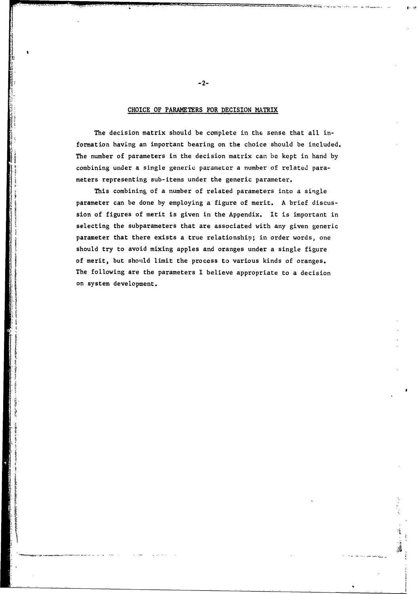### CHOICE OF PARAMETERS FOR DECISION MATRIX

The decision matrix should be complete in the sense that all information having an important bearing on the choice should be included. The number of parameters in the decision matrix can be kept in hand by combining under a single generic parameter a number of related parameters representing sub-items under the generic parameter.

This combining of a number of related parameters into a single parameter can be done by employing a figure of merit. A brief discussion of figures of merit is given in the Appendix. It is important in selecting the subparameters that are associated with any given generic parameter that there exists a true relationship; in order words, one should try to avoid mixing apples and oranges under a single figure of merit, but should limit the process to various kinds of oranges. The following are the parameters I believe appropriate to a decision on system development.

 $-2-$ 

 $\frac{1}{2}$ 

**INVEST** 

*<u>Dividing</u>* 

E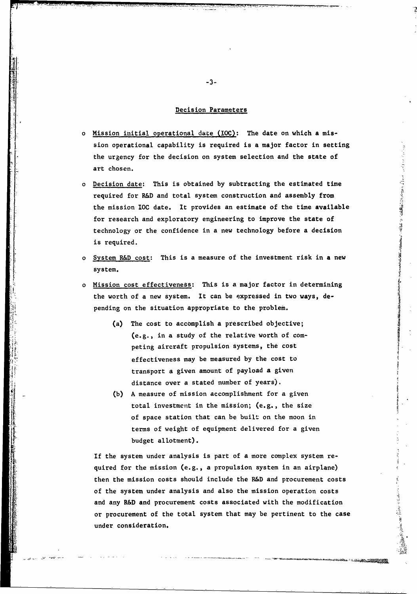### Decision Parameters

- o Mission initial operational date **(LOC):** The date on which a mission operational capability is required is a major factor in setting the urgency for the decision on system selection and the state of art chosen.
- o Decision date: This is obtained by subtracting the estimated time required for R&D and total system construction and assembly from the mission IOC date. It provides an estimate of the time available for research and exploratory engineering to improve the state of technology or the confidence in a new technology before a decision is required.

「アンディング」、「アンディング」の「Wing Webの研究所」という。 Magical Contemporary Search Market Search Market Market Market M

Anderson Marian Contents

**Andrew Comments** 

- o System R&D cost: This is a measure of the investment risk in a new system.
- o Mission cost effectiveness: This is a major factor in determining the worth of a new system. It can be expressed in two ways, depending on the situation appropriate to the problem.
	- (a) The cost to accomplish a prescribed objective; (e.g., in a study of the relative worth of competing aircraft propulsion systems, the cost effectiveness may be measured by the cost to transport a given amount of payload a given distance over a stated number of years).
	- (b) A measure of mission accomplishment for a given total investment in the mission; (e.g., the size of space station that can be built on the moon in terms of weight of equipment delivered for a given budget allotment).

If the system under analysis is part of a more complex system required for the mission (e.g., a propulsion system in an airplane) then the mission costs should include the R&D and procurement costs of the system under analysis and also the mission operation costs and any R&D and procurement costs associated with the modification or procurement of the total system that may be pertinent to the case under consideration.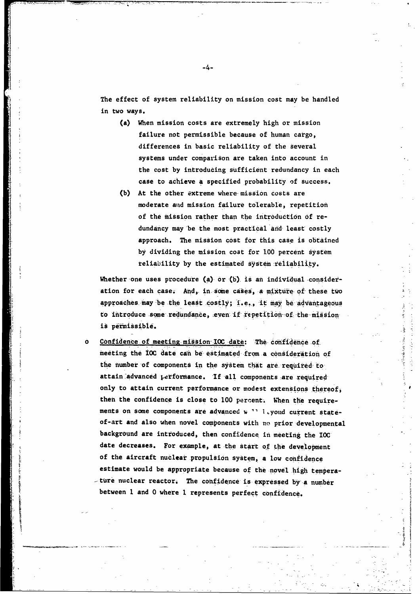The effect of system reliability on mission cost may be handled in two ways.

- (a) When mission costs are extremely high or mission failure not permissible because of human cargo, differences in basic reliability of the several systems under comparison are taken into account in the cost by introducing sufficient redundancy in each case to achieve a specified probability of success.
- (b) At the other extreme where-mission costs are moderate and mission failure tolerable, repetition of the mission rather than the introduction of redundancy may-be the most practical and- least costly approach. The mission cost for this case is obtained by dividing the mission cost for **100** percent system reliability by the estimated system reliability.

Whether one uses procedure (a) or (b) is an individual consideration for each case. And, in some cases, a mixture of these two  $\frac{1}{2}$ acron ror each case. And, in some cases, a mixture of these two contributions of  $\sim$ to introduce some redundance, even if repetition of the missionis permissible.

o Confidence of meeting.mission-10C date: The confidence of meeting the **IOC** date can be estimated-from a consideration of the number of components in the system that are required to attain-advanced performance. **If** -all components are required only to attain current performance or modest extensions thereof, then the confidence is close to 100 percent. When the requirements on some components are advanced **% "** 1,yond current stateof-art and also when novel components with no prior-developmental background are introduced, then confidence in meeting the **IOC** date decreases. For example, at the start of the development of the aircraft nuclear propulsion system, a low confidence estimate would be appropriate because of the novel high tempera- -ture nuclear reactor. The confidence is expressed by a number between 1 and 0 where **1** represents perfect confidence.

--

Ig

-4-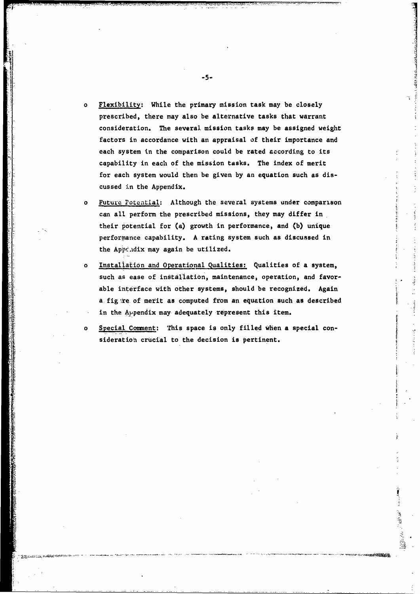- Flexibility: While the primary mission task may be closely prescribed, there may also be alternative tasks that warrant consideration. The several mission tasks may be assigned weight factors in accordance with an appraisal of their importance and each system in the comparison could be rated according to its capability in each of the mission tasks. The index of merit for each system would then be given by an equation such as discussed in the Appendix.
- o Future Poteatial: Although the several systems under comparison can all perform the prescribed missions, they may differ in their potential for (a) growth in performance, and (b) unique performance capability. A rating system such as discussed in the Appc.dix may again be utilized.
- o Installation and Operational Qualities: Qualities of a system, such as ease of installation, maintenance, operation, and favorable interface with other systems, should be recognized. Again a fig .re of merit as computed from an equation such as described in the Appendix may adequately represent this item.
	- Special Comment: This space is only filled when a special consideration crucial to the decision is pertinent.

الشهود كأبادي

 $-5-$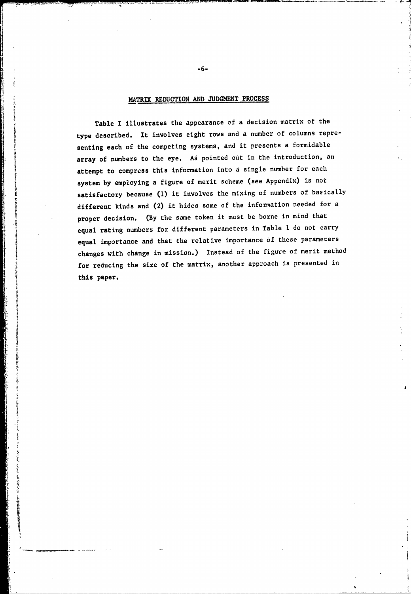### MATRIK REDUCTION AND JUDGMENT PROCESS

II **-6-**

 $\ddot{\cdot}$ 

I?

Table I illustrates the appearance of a decision matrix of the type described. It involves eight rows and a number of columns representing each of the competing systems, and it presents a formidable array of numbers to the eye. As pointed out in the introduction, an attempt to compress this information into a single number for each system by employing a figure of merit scheme (see Appendix) is not satisfactory because (1) it involves the mixing of numbers of basically different kinds and (2) it hides some of the information needed for a proper decision. (By the same token it must be borne in mind that equal rating numbers for different parameters in Table **I** do not carry equal importance and that the relative importance of these parameters changes with change in mission.) Instead of the figure of merit method for reducing the size of the matrix, another approach is presented in this paper.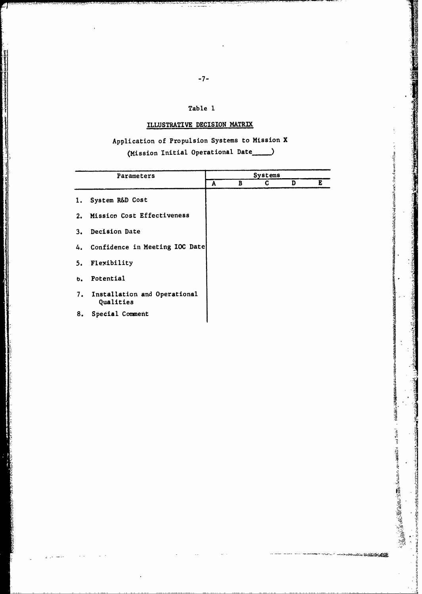### Table **I**

# ILLUSTRATIVE DECISION MATRIX

# Application of Propulsion Systems to Mission X (Mission Initial Operational Date

| Parameters    |                                           | Systems |   |   |   |  |
|---------------|-------------------------------------------|---------|---|---|---|--|
|               |                                           | A       | в | C | D |  |
| 1.            | System R&D Cost                           |         |   |   |   |  |
|               | 2. Mission Cost Effectiveness             |         |   |   |   |  |
|               | 3. Decision Date                          |         |   |   |   |  |
|               | 4. Confidence in Meeting IOC Date         |         |   |   |   |  |
|               | 5. Flexibility                            |         |   |   |   |  |
| $b_{\bullet}$ | Potential                                 |         |   |   |   |  |
| 7.            | Installation and Operational<br>Qualities |         |   |   |   |  |
| 8.            | Special Comment                           |         |   |   |   |  |

**A**

eirich.

March 2010 Committee of the American State

. અલ<del>ાહ કરે હોતે</del>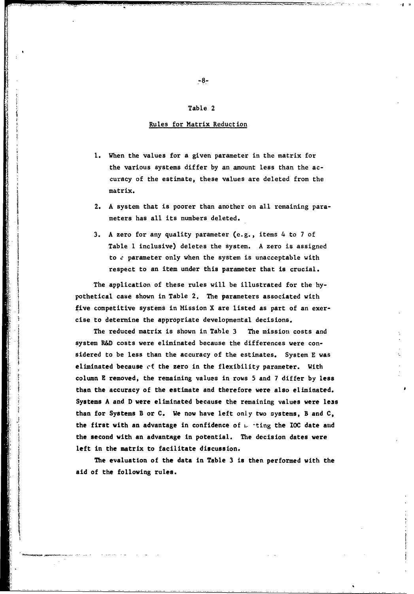### Table 2

### Rules for Matrix Reduction

- **1.** When the values for a given parameter in the matrix for the various systems differ by an amount less than the accuracy of the estimate, these values are deleted from the matrix.
- 2. A system that is poorer than another on all remaining parameters has all its numbers deleted.
- 3. A zero for any quality parameter (e.g., items 4 to 7 of Table **1** inclusive) deletes the system. A zero is assigned to  $e$  parameter only when the system is unacceptable with respect to an item under this parameter that is crucial.

The application of these rules will be illustrated for the hypothetical case shown in Table 2. The parameters associated with five competitive systems in Mission X are listed as part of an exercise to determine the appropriate developmental decisions.

The reduced matrix is shown in Table 3 The mission costs and system R&D costs were eliminated because the differences were considered to be less than the accuracy of the estimates. System E was eliminated because cf the zero in the flexibility parameter. With column E removed, the remaining values in rows 5 and 7 differ by less than the accuracy of the estimate and therefore were also eliminated. Systems A and D were eliminated because the remaining values were less than for Systems B or C. We now have left only two systems, B and C, the first with an advantage in confidence of i.. -ting the IOC date and the second with an advantage in potential. The decision dates were left in the matrix to facilitate discussion.

The evaluation of the data in Table 3 is then performed with the aid of the following rules.

 $-8-$ 

I.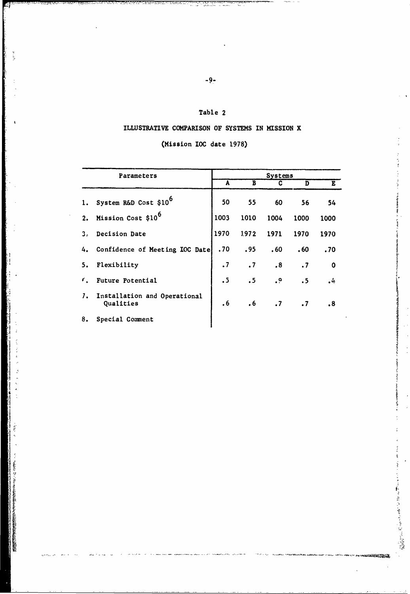## Table 2

## ILLUSTRATIVE COMPARISON OF SYSTEMS IN MISSION X

## (Mission **IOC** date 1978)

| Parameters     |                                           |           | Systems   |                 |           |                       |  |  |  |
|----------------|-------------------------------------------|-----------|-----------|-----------------|-----------|-----------------------|--|--|--|
|                |                                           | A         | B         | C               | D         | E                     |  |  |  |
|                | 1. System R&D Cost \$10 <sup>6</sup>      | 50        | 55        | 60              | 56        | 54                    |  |  |  |
| 2.             | Mission Cost \$10 <sup>6</sup>            | 1003      | 1010      | 1004            | 1000      | 1000                  |  |  |  |
| 3 <sub>s</sub> | Decision Date                             | 1970      | 1.972     | 1971            | 1970      | 1970                  |  |  |  |
|                | 4. Confidence of Meeting IOC Date         | .70       | .95       | .60             | .60       | .70                   |  |  |  |
| 5.             | Flexibility                               | $\cdot$ 7 | $\cdot$ 7 | .8              | $\cdot$ 7 | $\mathbf 0$           |  |  |  |
| $\epsilon$ .   | Future Potential                          | $\cdot$ 5 | .5        | $\cdot^{\circ}$ | .5        | 4,                    |  |  |  |
| $\mathcal{L}$  | Installation and Operational<br>Qualities | .6        | $\cdot$ 6 | $\cdot$ 7       | $\cdot$ 7 | $\boldsymbol{\cdot}8$ |  |  |  |
| 8.             | Special Comment                           |           |           |                 |           |                       |  |  |  |

 $\frac{1}{2}$  ,  $\frac{1}{2}$  ,  $\frac{1}{2}$  ,  $\frac{1}{2}$  ,  $\frac{1}{2}$  ,  $\frac{1}{2}$  ,  $\frac{1}{2}$  ,  $\frac{1}{2}$  ,  $\frac{1}{2}$  ,  $\frac{1}{2}$  ,  $\frac{1}{2}$  ,  $\frac{1}{2}$  ,  $\frac{1}{2}$  ,  $\frac{1}{2}$  ,  $\frac{1}{2}$  ,  $\frac{1}{2}$  ,  $\frac{1}{2}$  ,  $\frac{1}{2}$  ,  $\frac{1$ 

医生物 医血管 医血管 医血管

**SURFACE AND** 

ii 8.Cmm na samaysa $\frac{1}{\sqrt{2}}$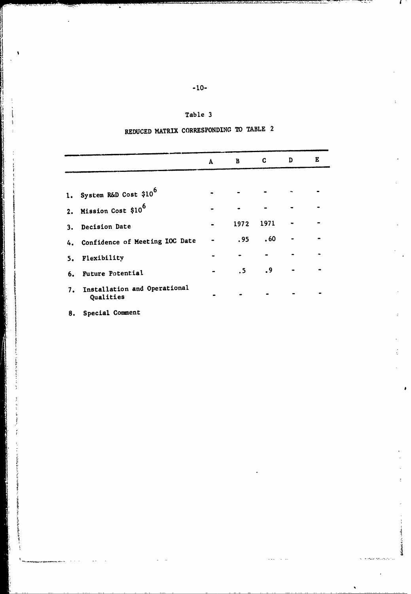| ×<br>w<br>۰. |  |
|--------------|--|
|              |  |

### Table 3

# REDUCED MATRIX CORRESPONDING TO TABLE 2

|                                              |              |              | $\mathbf{C}$ | D |
|----------------------------------------------|--------------|--------------|--------------|---|
|                                              | $\mathbf{A}$ | $\mathbf{B}$ |              |   |
| 1. System R&D Cost \$10 <sup>6</sup>         |              |              |              |   |
| 2. Mission Cost \$10 <sup>6</sup>            |              |              |              |   |
| 3. Decision Date                             |              | 1972         | 1971         |   |
| 4. Confidence of Meeting IOC Date            |              | .95          | .60          |   |
| 5. Flexibility                               |              |              |              |   |
| 6. Future Potential                          |              | .5           | .9           |   |
| 7. Installation and Operational<br>Qualities |              |              |              |   |

**SHIRAMA** 

8. Special Comment

de des instruments<br>|<br>|

ļ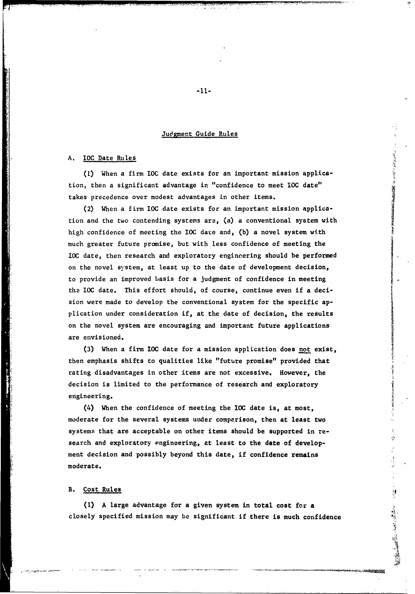### Judgment Guide Rules

### A. IOC Date Rules

**(1)** When a firm IOC date exists for an important mission application, then a significant advantage in "confidence to meet **IOC** date" takes precedence over modest advantages in other items.

(2) When a firm IOC date exists for an important mission application and the two contending systems are, (a) a conventional system with high confidence of meeting the **IOC** date and, (b) a novel system with much greater future promise, but with less confidence of meeting the **IOC** date, then research and exploratory engineering should be performed on the novel system, at least up to the date of development decision, to provide an improved basis for a judgment of confidence in meeting the IOC date. This effort should, of course, continue even if a decision were made to develop the conventional system for the specific application under consideration if, at the date of decision, the results on the novel system are encouraging and important future applications are envisioned.

(3) When a firm IOC date for a mission application does not exist, then emphasis shifts to qualities like "future promise" provided that rating disadvantages in other items are not excessive. However, the decision is limited to the performance of research and exploratory engineering.

(4) When the confidence of meeting the **IOC** date is, at most, moderate for the several systems under comparison, then at least two systems that are acceptable on other items should be supported in research and exploratory engineering, at least to the date of development decision and possibly beyond this date, if confidence remains moderate.

### B. Cost Rules

(I) A large advantage for a given system in total cost for a closely specified mission may be significant if there is much confidence an<br>S

このおという こうかい こうかんかん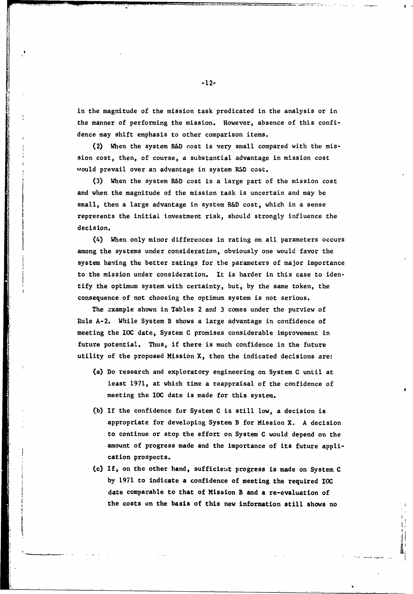in the magnitude of the mission task predicated in the analysis or in the manner of performing the mission. However, absence of this confidence may shift emphasis to other comparison items.

(2) When the system R&D cost is very small compared with the mission cost, then, of course, a substantial advantage in mission cost would prevail over an advantage in system R&D cost.

(3) When the system R&D cost is a large part of the mission cost and when the magnitude of the mission task is uncertain and may be small, then a large advantage in system R&D cost, which in a sense repreeents the initial investment risk, should strongly influence the decision.

(4) When only minor differences in rating on all parameters occurs among the systems under consideration, obviously one would favor the system having the better ratings for the parameters of major importance to the mission under consideration. It is harder in this case to identify the optimum system with certainty, but, by the same token, the consequence of not choosing the optimum system is not serious.

The example shown in Tables 2 and 3 comes under the purview of Rule A-2. While System B shows a large advantage in confidence of meeting the **IOC** date, System C promises considerable improvement in future potential. Thus, if there is much confidence in the future utility of the proposed Mission X, then the indicated decisions are:

- (a) Do research and exploratory engineering on System C until at least 1971, at which time a reappraisal of the confidence of meeting the IOC date is made for this system.
- (b) If the confidence for System C is still low, a decision is appropriate for developing System B for Mission X. A decision to continue or stop the effort on System C would depend on the amount of progress made and the importance of its future application prospects.
- (c) If, on the other hand, sufficieut progress is made on System C by 1971 to indicate a confidence of meeting the required IOC date comparable to that of Mission B and a re-evaluation of the costs on the basis of this new information still shows no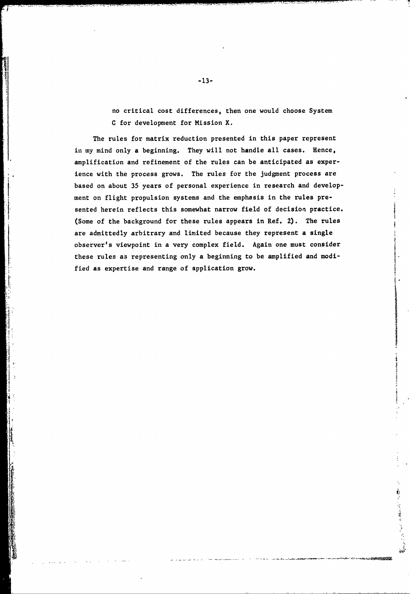no critical cost differences, then one would choose System C for development for Mission X.

The rules for matrix reduction presented in this paper represent in my mind only a beginning. They will not handle all cases. Hence, amplification and refinement of the rules can be anticipated as experience with the process grows. The rules for the judgment process are based on about 35 years of personal experience in research and development on flight propulsion systems and the emphasis in the rules presented herein reflects this somewhat narrow field of decision practice. (Some of the background for these rules appears in Ref. 2). The rules are admittedly arbitrary and limited because they represent a single observer's viewpoint in a very complex field. Again one must consider these rules as representing only a beginning to be amplified and modified as expertise and range of application grow.

I &

**INSIDENT** 

All Contract on the Contract of the Manual

**-13-**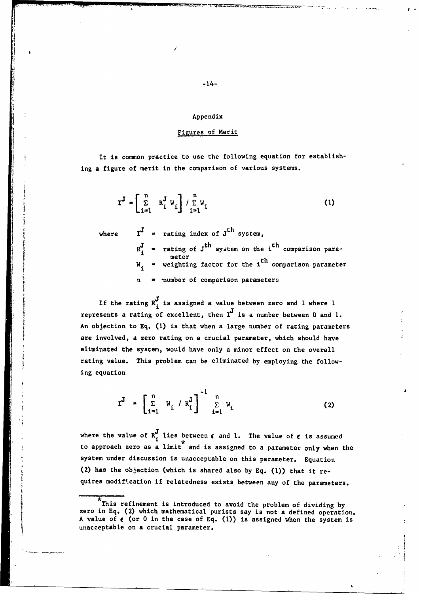#### Appendix

### Figures of Merit

It is common practice to use the following equation for establishing a figure of merit in the comparison of various systems.

$$
\mathbf{I}^{\mathbf{J}} = \begin{bmatrix} \mathbf{n} & \mathbf{n}^{\mathbf{J}} & \mathbf{w}_i \\ \mathbf{n}^{\mathbf{J}} & \mathbf{n}^{\mathbf{J}} & \mathbf{w}_i \end{bmatrix} / \sum_{i=1}^{n} \mathbf{w}_i
$$
 (1)

where

 $I^J$  = rating index of  $J^{th}$  system, **Example 1** system on the i<sup>th</sup> comparison paraweighting factor for the  $i<sup>th</sup>$  comparison parameter n = number of comparison parameters

If the rating  $R_i^J$  is assigned a value between zero and 1 where 1 represents a rating of excellent, then  $I^J$  is a number between 0 and 1. An objection to Eq. **(1)** is that when a large number of rating parameters are involved, a zero rating on a crucial parameter, which should have eliminated the system, would have only a minor effect on the overall rating value. This problem can be eliminated by employing the following equation

$$
I^J = \begin{bmatrix} n \\ \sum_{i=1}^n & W_i / R_i^J \end{bmatrix}^{-1} \begin{bmatrix} n \\ \sum_{i=1}^n W_i \end{bmatrix}
$$
 (2)

where the value of  $R_i^J$  lies between  $\epsilon$  and 1. The value of  $\epsilon$  is assumed to approach zero as a limit and is assigned to a parameter only when the system under discussion is unacceptable on this parameter. Equation (2) has the objection (which is shared also by Eq. (1)) that it requires modification if relatedness exists between any of the parameters.

This refinement is introduced to avoid the problem of dividing by zero in Eq. (2) which mathematical purists say is not a defined operation. A value of  $\epsilon$  (or 0 in the case of Eq. (1)) is assigned when the system is unacceptable on a crucial parameter.